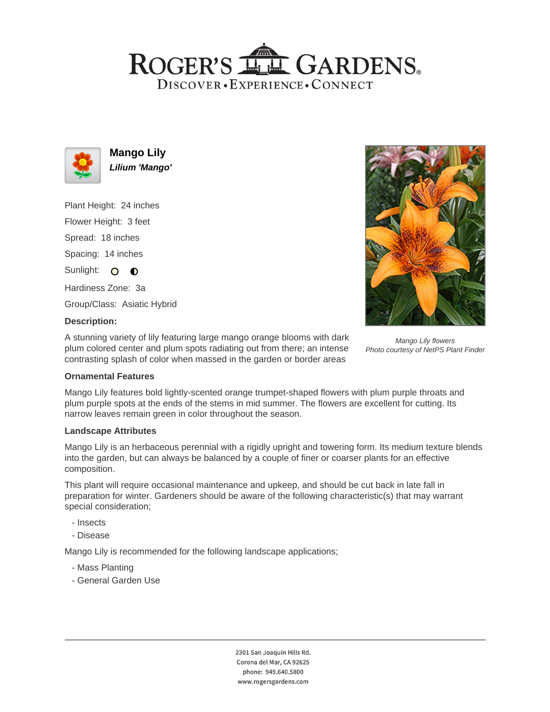## ROGER'S LLE GARDENS. DISCOVER · EXPERIENCE · CONNECT



**Mango Lily Lilium 'Mango'**

Plant Height: 24 inches Flower Height: 3 feet

Spread: 18 inches

Spacing: 14 inches

Sunlight: O **O** 

Hardiness Zone: 3a

Group/Class: Asiatic Hybrid

## **Description:**

A stunning variety of lily featuring large mango orange blooms with dark plum colored center and plum spots radiating out from there; an intense contrasting splash of color when massed in the garden or border areas



Mango Lily flowers Photo courtesy of NetPS Plant Finder

## **Ornamental Features**

Mango Lily features bold lightly-scented orange trumpet-shaped flowers with plum purple throats and plum purple spots at the ends of the stems in mid summer. The flowers are excellent for cutting. Its narrow leaves remain green in color throughout the season.

#### **Landscape Attributes**

Mango Lily is an herbaceous perennial with a rigidly upright and towering form. Its medium texture blends into the garden, but can always be balanced by a couple of finer or coarser plants for an effective composition.

This plant will require occasional maintenance and upkeep, and should be cut back in late fall in preparation for winter. Gardeners should be aware of the following characteristic(s) that may warrant special consideration;

- Insects
- Disease

Mango Lily is recommended for the following landscape applications;

- Mass Planting
- General Garden Use

2301 San Joaquin Hills Rd. Corona del Mar, CA 92625 phone: 949.640.5800 www.rogersgardens.com